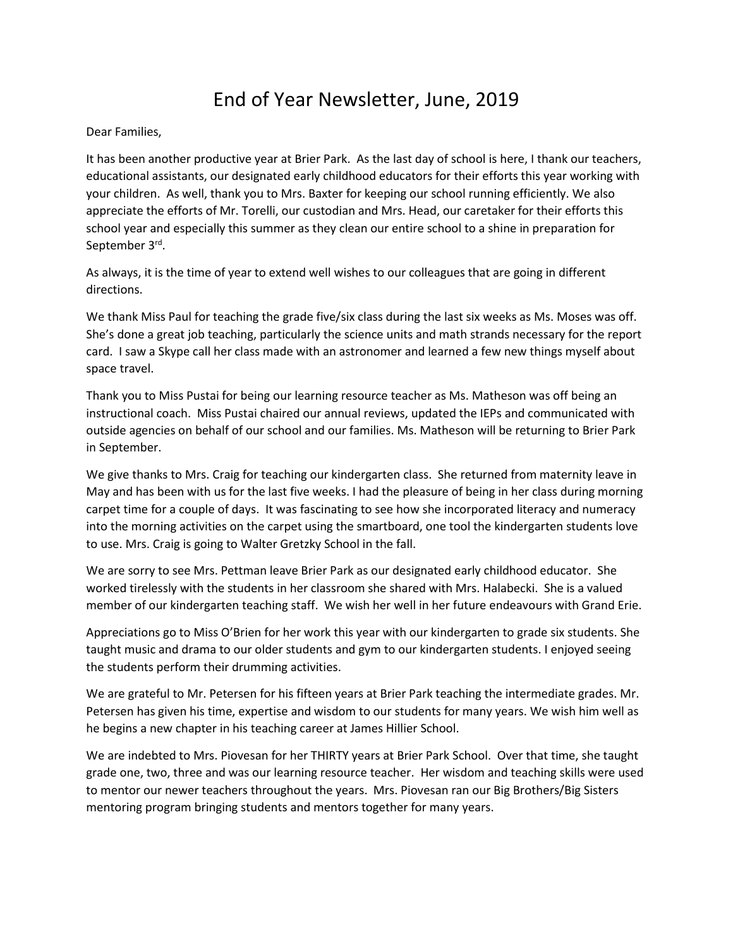## End of Year Newsletter, June, 2019

## Dear Families,

It has been another productive year at Brier Park. As the last day of school is here, I thank our teachers, educational assistants, our designated early childhood educators for their efforts this year working with your children. As well, thank you to Mrs. Baxter for keeping our school running efficiently. We also appreciate the efforts of Mr. Torelli, our custodian and Mrs. Head, our caretaker for their efforts this school year and especially this summer as they clean our entire school to a shine in preparation for September 3<sup>rd</sup>.

As always, it is the time of year to extend well wishes to our colleagues that are going in different directions.

We thank Miss Paul for teaching the grade five/six class during the last six weeks as Ms. Moses was off. She's done a great job teaching, particularly the science units and math strands necessary for the report card. I saw a Skype call her class made with an astronomer and learned a few new things myself about space travel.

Thank you to Miss Pustai for being our learning resource teacher as Ms. Matheson was off being an instructional coach. Miss Pustai chaired our annual reviews, updated the IEPs and communicated with outside agencies on behalf of our school and our families. Ms. Matheson will be returning to Brier Park in September.

We give thanks to Mrs. Craig for teaching our kindergarten class. She returned from maternity leave in May and has been with us for the last five weeks. I had the pleasure of being in her class during morning carpet time for a couple of days. It was fascinating to see how she incorporated literacy and numeracy into the morning activities on the carpet using the smartboard, one tool the kindergarten students love to use. Mrs. Craig is going to Walter Gretzky School in the fall.

We are sorry to see Mrs. Pettman leave Brier Park as our designated early childhood educator. She worked tirelessly with the students in her classroom she shared with Mrs. Halabecki. She is a valued member of our kindergarten teaching staff. We wish her well in her future endeavours with Grand Erie.

Appreciations go to Miss O'Brien for her work this year with our kindergarten to grade six students. She taught music and drama to our older students and gym to our kindergarten students. I enjoyed seeing the students perform their drumming activities.

We are grateful to Mr. Petersen for his fifteen years at Brier Park teaching the intermediate grades. Mr. Petersen has given his time, expertise and wisdom to our students for many years. We wish him well as he begins a new chapter in his teaching career at James Hillier School.

We are indebted to Mrs. Piovesan for her THIRTY years at Brier Park School. Over that time, she taught grade one, two, three and was our learning resource teacher. Her wisdom and teaching skills were used to mentor our newer teachers throughout the years. Mrs. Piovesan ran our Big Brothers/Big Sisters mentoring program bringing students and mentors together for many years.